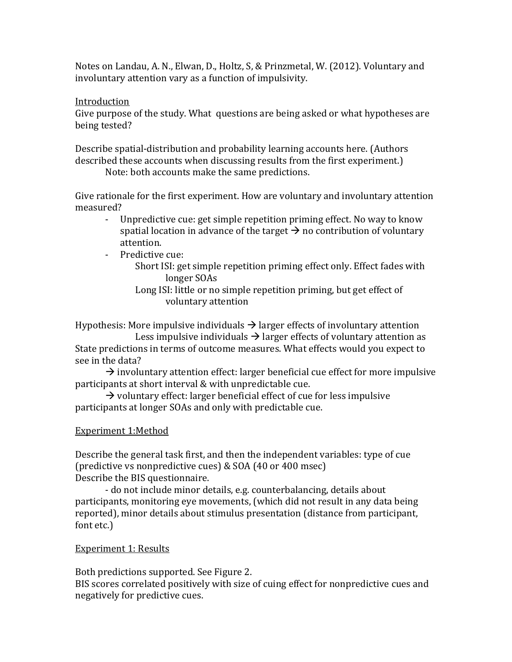Notes on Landau, A. N., Elwan, D., Holtz, S, & Prinzmetal, W. (2012). Voluntary and involuntary attention vary as a function of impulsivity.

## Introduction

Give purpose of the study. What questions are being asked or what hypotheses are being tested?

Describe spatial-distribution and probability learning accounts here. (Authors described these accounts when discussing results from the first experiment.)

Note: both accounts make the same predictions.

Give rationale for the first experiment. How are voluntary and involuntary attention measured?

- Unpredictive cue: get simple repetition priming effect. No way to know spatial location in advance of the target  $\rightarrow$  no contribution of voluntary attention.
- Predictive cue:
	- Short ISI: get simple repetition priming effect only. Effect fades with longer SOAs
	- Long ISI: little or no simple repetition priming, but get effect of voluntary attention

Hypothesis: More impulsive individuals  $\rightarrow$  larger effects of involuntary attention

Less impulsive individuals  $\rightarrow$  larger effects of voluntary attention as State predictions in terms of outcome measures. What effects would you expect to see in the data?

 $\rightarrow$  involuntary attention effect: larger beneficial cue effect for more impulsive participants at short interval & with unpredictable cue.

 $\rightarrow$  voluntary effect: larger beneficial effect of cue for less impulsive participants at longer SOAs and only with predictable cue.

# Experiment 1:Method

Describe the general task first, and then the independent variables: type of cue (predictive vs nonpredictive cues) & SOA (40 or 400 msec) Describe the BIS questionnaire.

- do not include minor details, e.g. counterbalancing, details about participants, monitoring eye movements, (which did not result in any data being reported), minor details about stimulus presentation (distance from participant, font etc.)

# Experiment 1: Results

Both predictions supported. See Figure 2. BIS scores correlated positively with size of cuing effect for nonpredictive cues and negatively for predictive cues.